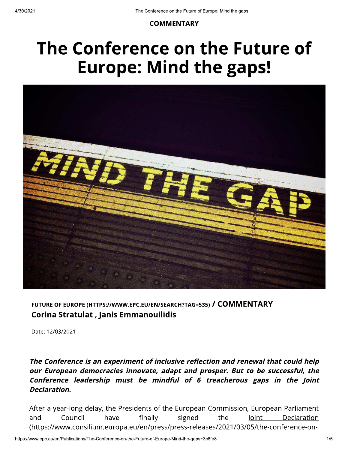### **COMMENTARY**

# The Conference on the Future of **Europe: Mind the gaps!**



FUTURE OF EUROPE (HTTPS://WWW.EPC.EU/EN/SEARCH?TAG=535) / COMMENTARY Corina Stratulat, Janis Emmanouilidis

Date: 12/03/2021

The Conference is an experiment of inclusive reflection and renewal that could help our European democracies innovate, adapt and prosper. But to be successful, the Conference leadership must be mindful of 6 treacherous gaps in the Joint Declaration.

After a year-long delay, the Presidents of the European Commission, European Parliament and Council have finally signed the loint Declaration (https://www.consilium.europa.eu/en/press/press-releases/2021/03/05/the-conference-on-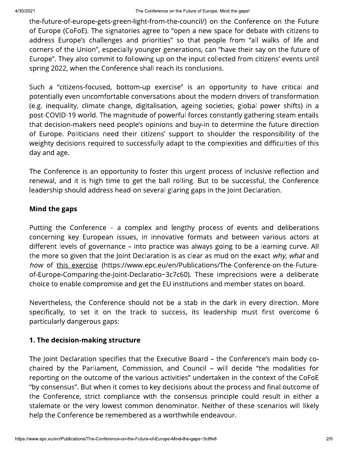shown<br>
controlled to consensus growth gradients when the considerative and controlled controlled and controlled and controlled to the set of determined to the controlled to the set of determined to the controlled to the se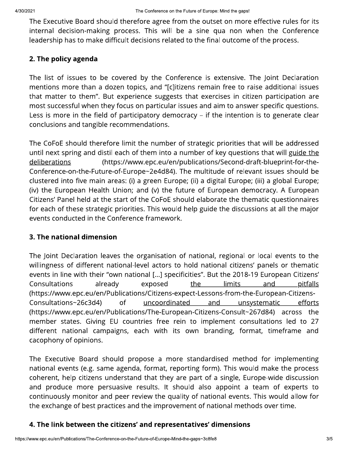shown<br>The Security Board should the conservation are not a conserve the Security of the Security School and Security School and Security School and Security School and Security ( $\sim$  1998) and Security School and Security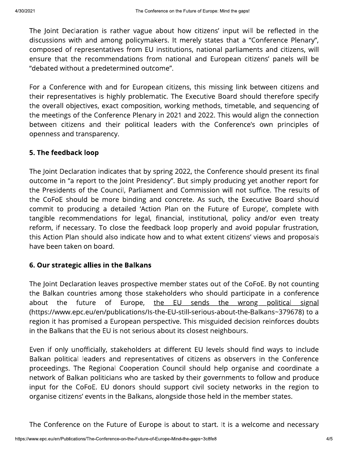The Joint Decembent of the content was derivated in the content of the method of the method of the method of the content of the decembent of the content of the content of the content of the content of the content of the c